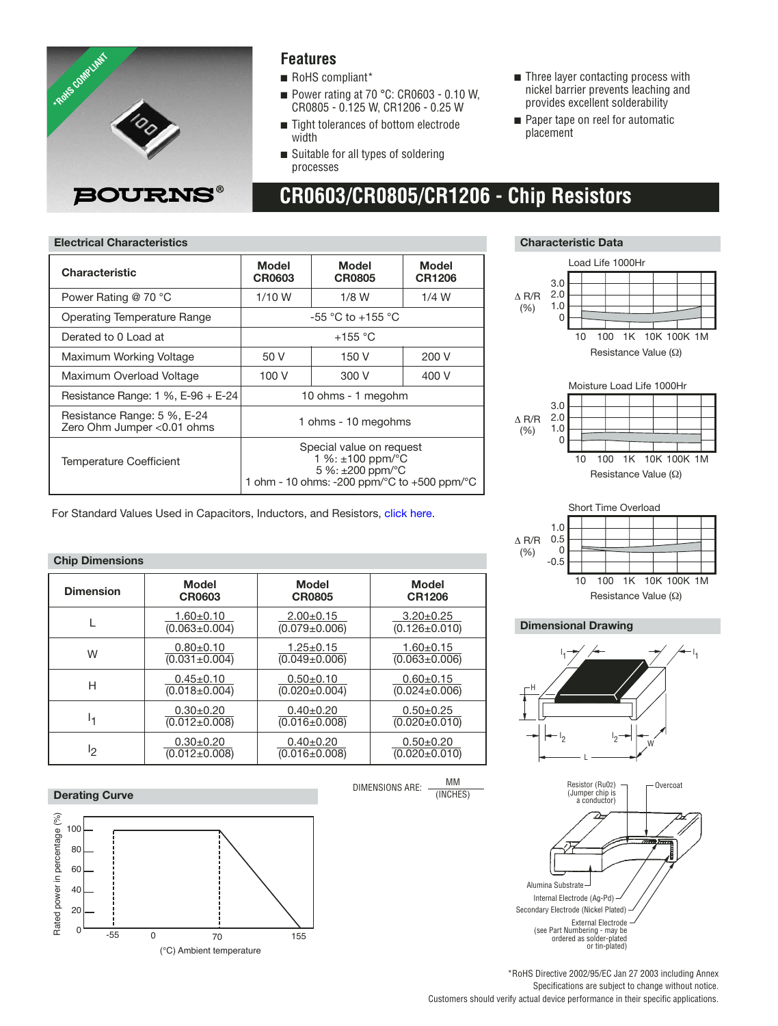

#### **Features**

- RoHS compliant\*
- Power rating at 70 °C: CR0603 0.10 W, CR0805 - 0.125 W, CR1206 - 0.25 W

**CR0603/CR0805/CR1206 - Chip Resistors**

- Tight tolerances of bottom electrode width
- Suitable for all types of soldering processes
- Three layer contacting process with nickel barrier prevents leaching and provides excellent solderability
- Paper tape on reel for automatic placement

#### **Electrical Characteristics Characteristic Data**

| <b>Characteristic</b>                                      | Model<br>CR0603                                                                                                                | Model<br><b>CR0805</b> | Model<br><b>CR1206</b> |  |  |  |
|------------------------------------------------------------|--------------------------------------------------------------------------------------------------------------------------------|------------------------|------------------------|--|--|--|
| Power Rating @ 70 °C                                       | $1/10$ W                                                                                                                       | $1/8$ W<br>$1/4$ W     |                        |  |  |  |
| Operating Temperature Range                                |                                                                                                                                | $-55$ °C to $+155$ °C  |                        |  |  |  |
| Derated to 0 Load at                                       | $+155$ °C                                                                                                                      |                        |                        |  |  |  |
| Maximum Working Voltage                                    | 50 V<br>150 V<br>200 V                                                                                                         |                        |                        |  |  |  |
| Maximum Overload Voltage                                   | 100 V<br>400 V<br>300 V                                                                                                        |                        |                        |  |  |  |
| Resistance Range: $1\%$ , E-96 + E-24                      | 10 ohms - 1 megohm                                                                                                             |                        |                        |  |  |  |
| Resistance Range: 5 %, E-24<br>Zero Ohm Jumper < 0.01 ohms | 1 ohms - 10 megohms                                                                                                            |                        |                        |  |  |  |
| <b>Temperature Coefficient</b>                             | Special value on request<br>1 %: ±100 ppm/°C<br>5 %: $\pm 200$ ppm/ $\degree$ C<br>1 ohm - 10 ohms: -200 ppm/°C to +500 ppm/°C |                        |                        |  |  |  |

For Standard Values Used in Capacitors, Inductors, and Resistor[s, click here.](http://www.bourns.com/Support.aspx?name=TechnicalLibraryStndrdValues)

#### **Chip Dimensions**

| <b>Dimension</b> | <b>Model</b>        | Model               | Model               |
|------------------|---------------------|---------------------|---------------------|
|                  | CR0603              | <b>CR0805</b>       | <b>CR1206</b>       |
|                  | $1.60 + 0.10$       | $2.00+0.15$         | $3.20 \pm 0.25$     |
|                  | $(0.063 \pm 0.004)$ | $(0.079 \pm 0.006)$ | $(0.126 \pm 0.010)$ |
| W                | $0.80 + 0.10$       | $1.25 \pm 0.15$     | $1.60 + 0.15$       |
|                  | $(0.031 \pm 0.004)$ | $(0.049 \pm 0.006)$ | $(0.063 \pm 0.006)$ |
| Н                | $0.45 \pm 0.10$     | $0.50+0.10$         | $0.60 + 0.15$       |
|                  | $(0.018 \pm 0.004)$ | $(0.020 \pm 0.004)$ | $(0.024 \pm 0.006)$ |
| I۰               | $0.30+0.20$         | $0.40+0.20$         | $0.50+0.25$         |
|                  | $(0.012 \pm 0.008)$ | $(0.016 \pm 0.008)$ | $(0.020 \pm 0.010)$ |
| פו               | $0.30+0.20$         | $0.40+0.20$         | $0.50 + 0.20$       |
|                  | $(0.012 \pm 0.008)$ | $(0.016 \pm 0.008)$ | $(0.020 \pm 0.010)$ |

#### **Derating Curve**



(°C) Ambient temperature







#### **Dimensional Drawing**

(%)





\*RoHS Directive 2002/95/EC Jan 27 2003 including Annex Specifications are subject to change without notice. Customers should verify actual device performance in their specific applications.

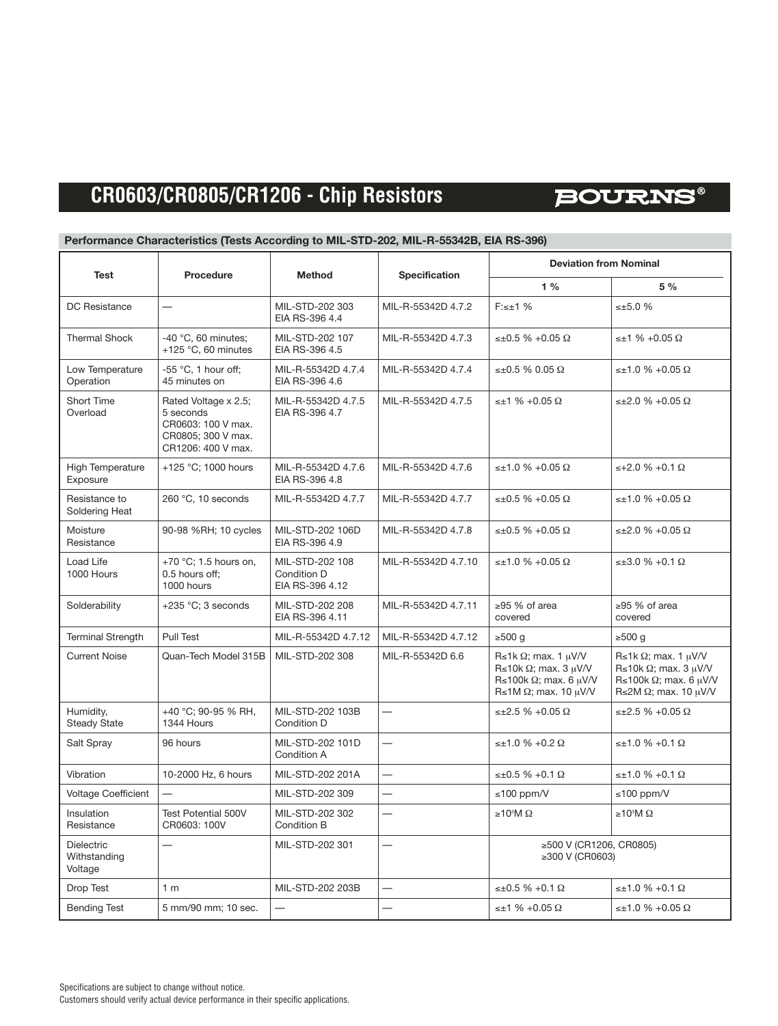# **BOURNS®**

#### **Performance Characteristics (Tests According to MIL-STD-202, MIL-R-55342B, EIA RS-396)**

| Test                                         | Procedure                                                                                           | <b>Method</b>                                     | <b>Specification</b>     | <b>Deviation from Nominal</b>                                                                                                                               |                                                                                                                                                               |  |  |  |  |
|----------------------------------------------|-----------------------------------------------------------------------------------------------------|---------------------------------------------------|--------------------------|-------------------------------------------------------------------------------------------------------------------------------------------------------------|---------------------------------------------------------------------------------------------------------------------------------------------------------------|--|--|--|--|
|                                              |                                                                                                     |                                                   |                          | $1\%$                                                                                                                                                       | 5 %                                                                                                                                                           |  |  |  |  |
| <b>DC</b> Resistance                         |                                                                                                     | MIL-STD-202 303<br>EIA RS-396 4.4                 | MIL-R-55342D 4.7.2       | $F:\leq +1$ %                                                                                                                                               | $\leq \pm 5.0$ %                                                                                                                                              |  |  |  |  |
| <b>Thermal Shock</b>                         | -40 $°C$ , 60 minutes;<br>+125 $\degree$ C, 60 minutes                                              | MIL-STD-202 107<br>EIA RS-396 4.5                 | MIL-R-55342D 4.7.3       | ≤±0.5 % +0.05 Ω                                                                                                                                             | $\leq \pm 1 \% + 0.05 \Omega$                                                                                                                                 |  |  |  |  |
| Low Temperature<br>Operation                 | -55 $\degree$ C, 1 hour off;<br>45 minutes on                                                       | MIL-R-55342D 4.7.4<br>EIA RS-396 4.6              | MIL-R-55342D 4.7.4       | ≤±0.5 % 0.05 Ω                                                                                                                                              | $\leq \pm 1.0$ % +0.05 $\Omega$                                                                                                                               |  |  |  |  |
| Short Time<br>Overload                       | Rated Voltage x 2.5;<br>5 seconds<br>CR0603: 100 V max.<br>CR0805; 300 V max.<br>CR1206: 400 V max. | MIL-R-55342D 4.7.5<br>EIA RS-396 4.7              | MIL-R-55342D 4.7.5       | $\leq \pm 1 \% + 0.05 \Omega$                                                                                                                               | ≤±2.0 % +0.05 Ω                                                                                                                                               |  |  |  |  |
| High Temperature<br>Exposure                 | +125 °C; 1000 hours                                                                                 | MIL-R-55342D 4.7.6<br>EIA RS-396 4.8              | MIL-R-55342D 4.7.6       | $\leq \pm 1.0$ % +0.05 $\Omega$                                                                                                                             | $≤+2.0$ % +0.1 Ω                                                                                                                                              |  |  |  |  |
| Resistance to<br>Soldering Heat              | 260 °C, 10 seconds                                                                                  | MIL-R-55342D 4.7.7                                | MIL-R-55342D 4.7.7       | $\leq \pm 0.5$ % +0.05 $\Omega$                                                                                                                             | $\leq \pm 1.0$ % +0.05 $\Omega$                                                                                                                               |  |  |  |  |
| Moisture<br>Resistance                       | 90-98 %RH; 10 cycles                                                                                | MIL-STD-202 106D<br>EIA RS-396 4.9                | MIL-R-55342D 4.7.8       | ≤±0.5 % +0.05 Ω                                                                                                                                             | ≤±2.0 % +0.05 Ω                                                                                                                                               |  |  |  |  |
| Load Life<br>1000 Hours                      | +70 $\degree$ C; 1.5 hours on,<br>0.5 hours off;<br>1000 hours                                      | MIL-STD-202 108<br>Condition D<br>EIA RS-396 4.12 | MIL-R-55342D 4.7.10      | ≤±1.0 % +0.05 Ω                                                                                                                                             | $\leq \pm 3.0 \% + 0.1 \Omega$                                                                                                                                |  |  |  |  |
| Solderability                                | +235 °C; 3 seconds                                                                                  | MIL-STD-202 208<br>EIA RS-396 4.11                | MIL-R-55342D 4.7.11      | $>95$ % of area<br>covered                                                                                                                                  | $>95$ % of area<br>covered                                                                                                                                    |  |  |  |  |
| <b>Terminal Strength</b>                     | Pull Test                                                                                           | MIL-R-55342D 4.7.12                               | MIL-R-55342D 4.7.12      | ≥500 $g$                                                                                                                                                    | $\geq 500$ g                                                                                                                                                  |  |  |  |  |
| <b>Current Noise</b>                         | Quan-Tech Model 315B                                                                                | MIL-STD-202 308                                   | MIL-R-55342D 6.6         | $R \le 1k \Omega$ ; max. 1 $\mu$ V/V<br>$R \le 10k \Omega$ ; max. 3 $\mu$ V/V<br>R ≤ 100 k $\Omega$ ; max. 6 µ V/V<br>$R \le 1M \Omega$ ; max. 10 $\mu$ V/V | $R \le 1k \Omega$ ; max. 1 $\mu$ V/V<br>R \le 10k $\Omega$ ; max. 3 $\mu$ V/V<br>R ≤ 100k $\Omega$ ; max. 6 $\mu$ V/V<br>R  s 2M $\Omega$ ; max. 10 $\mu$ V/V |  |  |  |  |
| Humidity,<br><b>Steady State</b>             | +40 °C; 90-95 % RH,<br>1344 Hours                                                                   | MIL-STD-202 103B<br>Condition D                   | $\overline{\phantom{0}}$ | $\leq \pm 2.5 \% + 0.05 \Omega$                                                                                                                             | $\leq \pm 2.5 \% + 0.05 \Omega$                                                                                                                               |  |  |  |  |
| Salt Spray                                   | 96 hours                                                                                            | MIL-STD-202 101D<br>Condition A                   | $\overline{\phantom{0}}$ | $\leq \pm 1.0 \% + 0.2 \Omega$                                                                                                                              | $\leq \pm 1.0$ % +0.1 $\Omega$                                                                                                                                |  |  |  |  |
| Vibration                                    | 10-2000 Hz, 6 hours                                                                                 | MIL-STD-202 201A                                  | $\overline{\phantom{0}}$ | ≤±0.5 % +0.1 Ω                                                                                                                                              | ≤±1.0 % +0.1 Ω                                                                                                                                                |  |  |  |  |
| <b>Voltage Coefficient</b>                   |                                                                                                     | MIL-STD-202 309                                   | $\overline{\phantom{0}}$ | ≤100 ppm/V                                                                                                                                                  | ≤100 ppm/V                                                                                                                                                    |  |  |  |  |
| Insulation<br>Resistance                     | Test Potential 500V<br>CR0603: 100V                                                                 | MIL-STD-202 302<br>Condition B                    |                          | ≥10 <sup>3</sup> M Ω                                                                                                                                        | ≥10 <sup>3</sup> M Ω                                                                                                                                          |  |  |  |  |
| <b>Dielectric</b><br>Withstanding<br>Voltage |                                                                                                     | MIL-STD-202 301                                   | $\overline{\phantom{0}}$ | ≥500 V (CR1206, CR0805)<br>≥300 V (CR0603)                                                                                                                  |                                                                                                                                                               |  |  |  |  |
| Drop Test                                    | 1 <sub>m</sub>                                                                                      | MIL-STD-202 203B                                  |                          | ≤±0.5 % +0.1 Ω                                                                                                                                              | ≤±1.0 % +0.1 Ω                                                                                                                                                |  |  |  |  |
| <b>Bending Test</b>                          | 5 mm/90 mm; 10 sec.                                                                                 | $\overline{\phantom{0}}$                          |                          | $\leq \pm 1 \% + 0.05 \Omega$                                                                                                                               | $\leq \pm 1.0$ % +0.05 $\Omega$                                                                                                                               |  |  |  |  |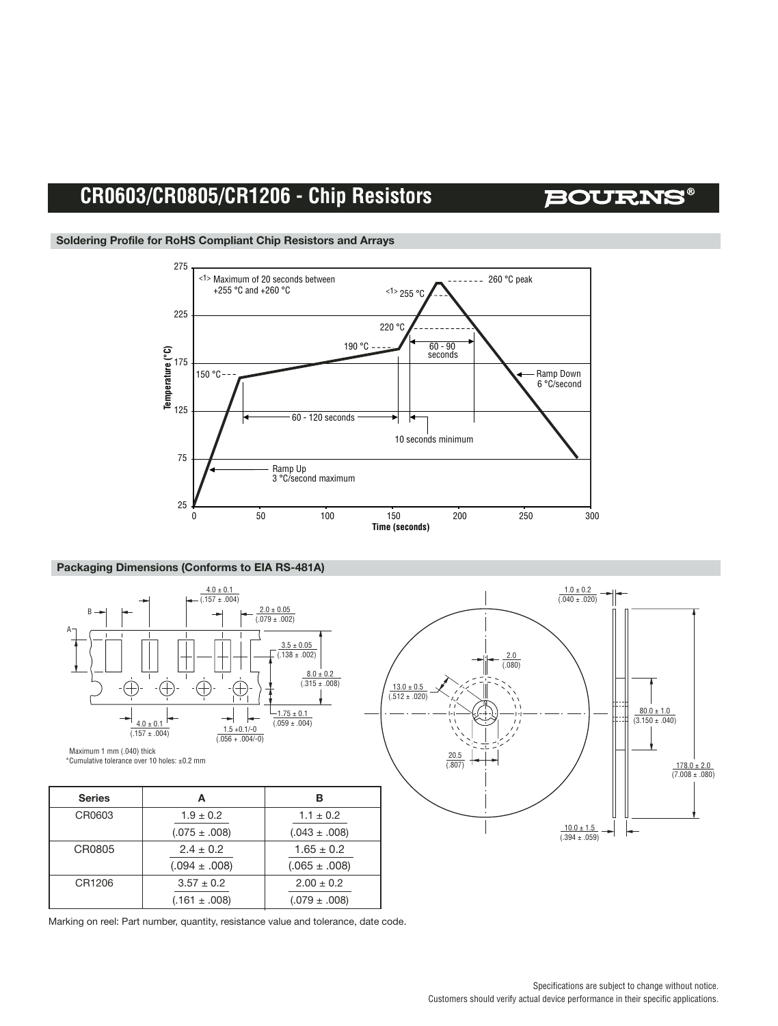### **BOURNS®**



#### **Soldering Profile for RoHS Compliant Chip Resistors and Arrays**

#### **Packaging Dimensions (Conforms to EIA RS-481A)**



| <b>MUILI (UPU.) IIIIII I IIIIIIIII</b> IIIION<br>*Cumulative tolerance over 10 holes: ±0.2 mm |                   |                   |  |
|-----------------------------------------------------------------------------------------------|-------------------|-------------------|--|
| <b>Series</b>                                                                                 | А                 | в                 |  |
| CR0603                                                                                        | $1.9 \pm 0.2$     | $1.1 \pm 0.2$     |  |
|                                                                                               | $(.075 \pm .008)$ | $(.043 \pm .008)$ |  |
| CR0805                                                                                        | $2.4 \pm 0.2$     | $1.65 \pm 0.2$    |  |
|                                                                                               | $(.094 \pm .008)$ | $(.065 \pm .008)$ |  |
| CR1206                                                                                        | $3.57 \pm 0.2$    | $2.00 \pm 0.2$    |  |
|                                                                                               | $(.161 \pm .008)$ | $(.079 \pm .008)$ |  |



Marking on reel: Part number, quantity, resistance value and tolerance, date code.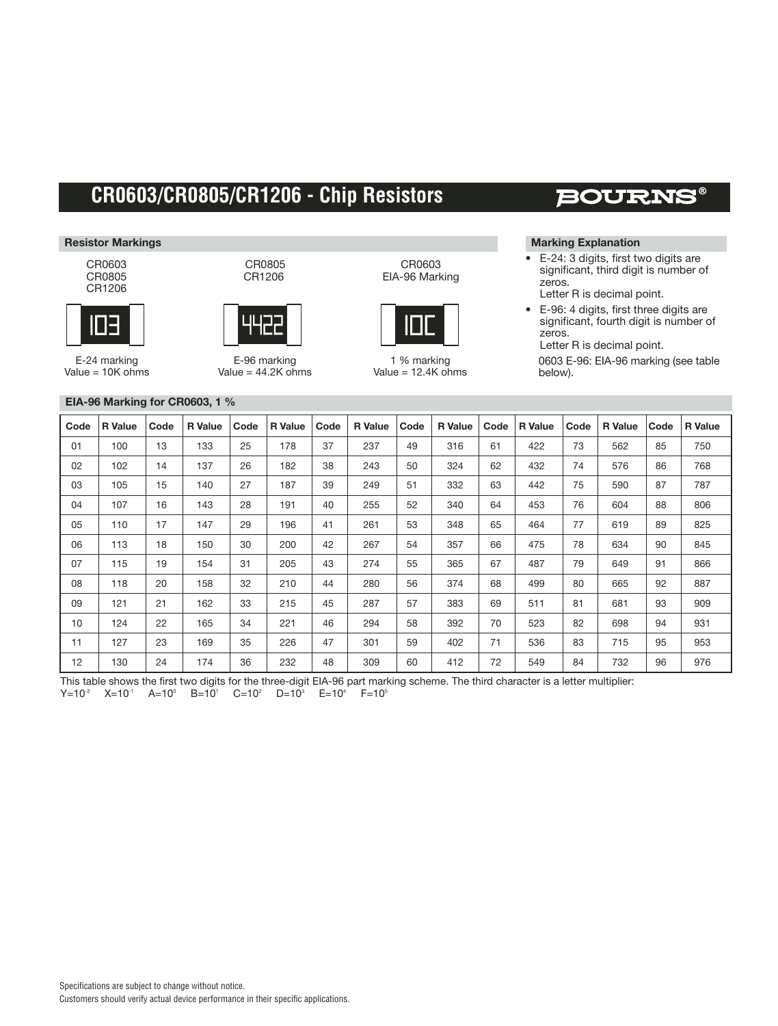#### **Resistor Markings**

CR0603 CR0805 CR1206



E-24 marking  $Value = 10K ohms$  CR1206 4422

CR0805

E-96 marking Value =  $44.2K$  ohms

#### CR0603 EIA-96 Marking



1 % marking Value =  $12.4K$  ohms

### **BOURNS®**

#### **Marking Explanation**

- E-24: 3 digits, first two digits are significant, third digit is number of zeros. Letter R is decimal point.
- E-96: 4 digits, first three digits are significant, fourth digit is number of zeros.

Letter R is decimal point.

0603 E-96: EIA-96 marking (see table below).

| EIA-96 Marking for CR0603, 1 $%$ |
|----------------------------------|
|----------------------------------|

| Code | <b>R</b> Value | Code | <b>R</b> Value | Code | <b>R</b> Value | Code | <b>R</b> Value | Code | <b>R</b> Value | Code | <b>R</b> Value | Code | <b>R</b> Value | Code | <b>R</b> Value |
|------|----------------|------|----------------|------|----------------|------|----------------|------|----------------|------|----------------|------|----------------|------|----------------|
| 01   | 100            | 13   | 133            | 25   | 178            | 37   | 237            | 49   | 316            | 61   | 422            | 73   | 562            | 85   | 750            |
| 02   | 102            | 14   | 137            | 26   | 182            | 38   | 243            | 50   | 324            | 62   | 432            | 74   | 576            | 86   | 768            |
| 03   | 105            | 15   | 140            | 27   | 187            | 39   | 249            | 51   | 332            | 63   | 442            | 75   | 590            | 87   | 787            |
| 04   | 107            | 16   | 143            | 28   | 191            | 40   | 255            | 52   | 340            | 64   | 453            | 76   | 604            | 88   | 806            |
| 05   | 110            | 17   | 147            | 29   | 196            | 41   | 261            | 53   | 348            | 65   | 464            | 77   | 619            | 89   | 825            |
| 06   | 113            | 18   | 150            | 30   | 200            | 42   | 267            | 54   | 357            | 66   | 475            | 78   | 634            | 90   | 845            |
| 07   | 115            | 19   | 154            | 31   | 205            | 43   | 274            | 55   | 365            | 67   | 487            | 79   | 649            | 91   | 866            |
| 08   | 118            | 20   | 158            | 32   | 210            | 44   | 280            | 56   | 374            | 68   | 499            | 80   | 665            | 92   | 887            |
| 09   | 121            | 21   | 162            | 33   | 215            | 45   | 287            | 57   | 383            | 69   | 511            | 81   | 681            | 93   | 909            |
| 10   | 124            | 22   | 165            | 34   | 221            | 46   | 294            | 58   | 392            | 70   | 523            | 82   | 698            | 94   | 931            |
| 11   | 127            | 23   | 169            | 35   | 226            | 47   | 301            | 59   | 402            | 71   | 536            | 83   | 715            | 95   | 953            |
| 12   | 130            | 24   | 174            | 36   | 232            | 48   | 309            | 60   | 412            | 72   | 549            | 84   | 732            | 96   | 976            |

This table shows the first two digits for the three-digit EIA-96 part marking scheme. The third character is a letter multiplier:

 $Y=10^{-2}$   $X=10^{-1}$   $A=10^{0}$   $B=10^{1}$   $C=10^{2}$   $D=10^{3}$   $E=10^{4}$   $F=10^{5}$